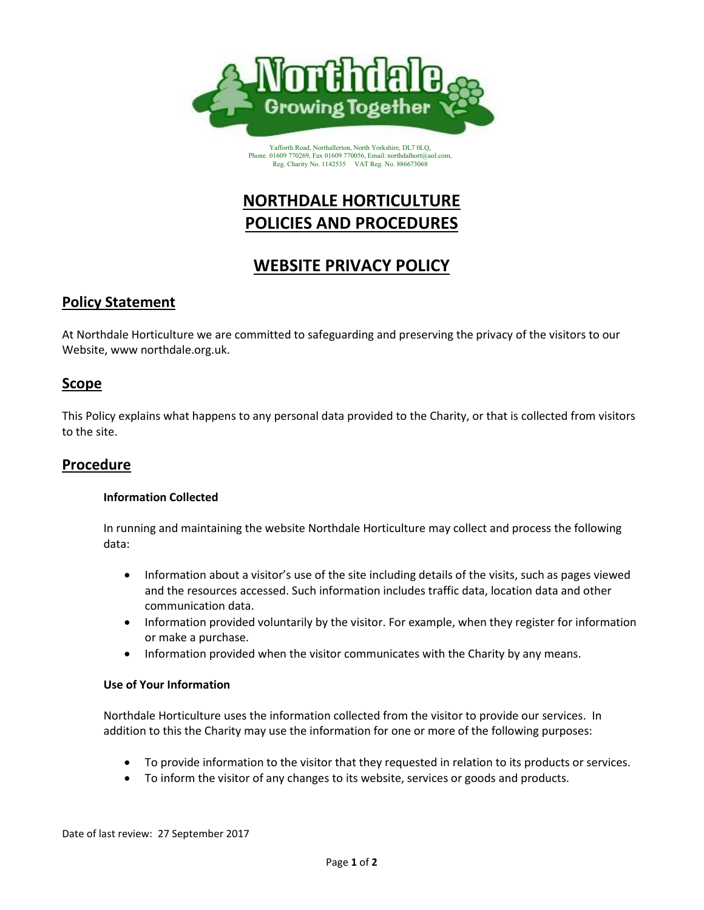

Yafforth Road, Northallerton, North Yorkshire, DL7 0LQ, Phone. 01609 770269, Fax 01609 770056, Email: northdalhort@aol.com, Reg. Charity No. 1142535 VAT Reg. No. 886673068

# **NORTHDALE HORTICULTURE POLICIES AND PROCEDURES**

# **WEBSITE PRIVACY POLICY**

# **Policy Statement**

At Northdale Horticulture we are committed to safeguarding and preserving the privacy of the visitors to our Website, www northdale.org.uk.

## **Scope**

This Policy explains what happens to any personal data provided to the Charity, or that is collected from visitors to the site.

# **Procedure**

#### **Information Collected**

In running and maintaining the website Northdale Horticulture may collect and process the following data:

- Information about a visitor's use of the site including details of the visits, such as pages viewed and the resources accessed. Such information includes traffic data, location data and other communication data.
- Information provided voluntarily by the visitor. For example, when they register for information or make a purchase.
- Information provided when the visitor communicates with the Charity by any means.

#### **Use of Your Information**

Northdale Horticulture uses the information collected from the visitor to provide our services. In addition to this the Charity may use the information for one or more of the following purposes:

- To provide information to the visitor that they requested in relation to its products or services.
- To inform the visitor of any changes to its website, services or goods and products.